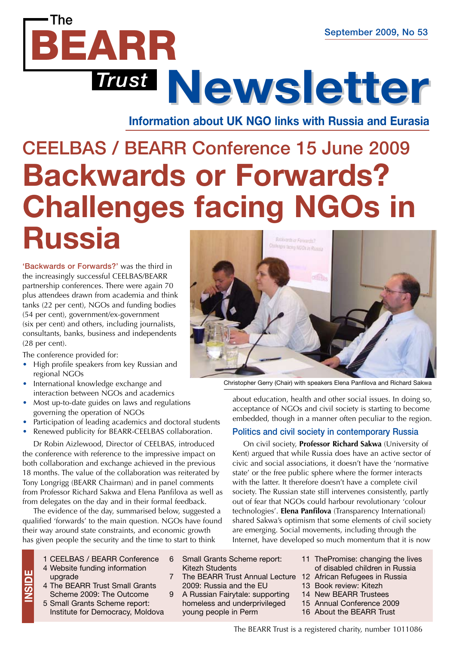**Information about UK NGO links with Russia and Eurasia Newsletter Newsletter**

# CEELBAS / BEARR Conference 15 June 2009 **Backwards or Forwards? Challenges facing NGOs in Russia**

'Backwards or Forwards?' was the third in the increasingly successful CEELBAS/BEARR partnership conferences. There were again 70 plus attendees drawn from academia and think tanks (22 per cent), NGOs and funding bodies (54 per cent), government/ex-government (six per cent) and others, including journalists, consultants, banks, business and independents (28 per cent).

*Trust*

BEARR

The conference provided for:

The

- High profile speakers from key Russian and regional NGOs
- International knowledge exchange and interaction between NGOs and academics
- Most up-to-date guides on laws and regulations governing the operation of NGOs
- Participation of leading academics and doctoral students
- Renewed publicity for BEARR-CEELBAS collaboration.

Dr Robin Aizlewood, Director of CEELBAS, introduced the conference with reference to the impressive impact on both collaboration and exchange achieved in the previous 18 months. The value of the collaboration was reiterated by Tony Longrigg (BEARR Chairman) and in panel comments from Professor Richard Sakwa and Elena Panfilova as well as from delegates on the day and in their formal feedback.

The evidence of the day, summarised below, suggested a qualified 'forwards' to the main question. NGOs have found their way around state constraints, and economic growth has given people the security and the time to start to think

- 1 CEELBAS / BEARR Conference 4 Website funding information
- upgrade 4 The BEARR Trust Small Grants Scheme 2009: The Outcome

**insid e**

5 Small Grants Scheme report: Institute for Democracy, Moldova

- 6 Small Grants Scheme report: Kitezh Students
- 7 The BEARR Trust Annual Lecture 12 African Refugees in Russia 2009: Russia and the EU
- 9 A Russian Fairytale: supporting homeless and underprivileged young people in Perm



Christopher Gerry (Chair) with speakers Elena Panfilova and Richard Sakwa

about education, health and other social issues. In doing so, acceptance of NGOs and civil society is starting to become embedded, though in a manner often peculiar to the region.

#### Politics and civil society in contemporary Russia

On civil society, **Professor Richard Sakwa** (University of Kent) argued that while Russia does have an active sector of civic and social associations, it doesn't have the 'normative state' or the free public sphere where the former interacts with the latter. It therefore doesn't have a complete civil society. The Russian state still intervenes consistently, partly out of fear that NGOs could harbour revolutionary 'colour technologies'. **Elena Panfilova** (Transparency International) shared Sakwa's optimism that some elements of civil society are emerging. Social movements, including through the Internet, have developed so much momentum that it is now

- 11 ThePromise: changing the lives of disabled children in Russia
- 
- 13 Book review: Kitezh
- 14 New BEARR Trustees
- 15 Annual Conference 2009
- 16 About the BEARR Trust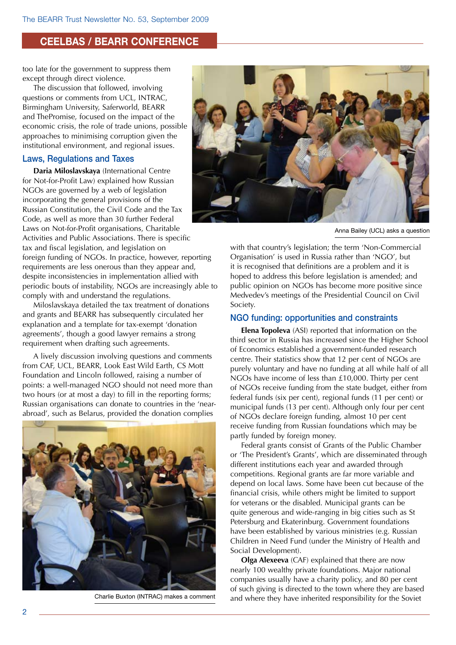#### **CEELBAS / BEARR Conference**

too late for the government to suppress them except through direct violence.

The discussion that followed, involving questions or comments from UCL, INTRAC, Birmingham University, Saferworld, BEARR and ThePromise, focused on the impact of the economic crisis, the role of trade unions, possible approaches to minimising corruption given the institutional environment, and regional issues.

#### Laws, Regulations and Taxes

**Daria Miloslavskaya** (International Centre for Not-for-Profit Law) explained how Russian NGOs are governed by a web of legislation incorporating the general provisions of the Russian Constitution, the Civil Code and the Tax Code, as well as more than 30 further Federal Laws on Not-for-Profit organisations, Charitable Activities and Public Associations. There is specific tax and fiscal legislation, and legislation on foreign funding of NGOs. In practice, however, reporting requirements are less onerous than they appear and, despite inconsistencies in implementation allied with periodic bouts of instability, NGOs are increasingly able to comply with and understand the regulations.

Miloslavskaya detailed the tax treatment of donations and grants and BEARR has subsequently circulated her explanation and a template for tax-exempt 'donation agreements', though a good lawyer remains a strong requirement when drafting such agreements.

A lively discussion involving questions and comments from CAF, UCL, BEARR, Look East Wild Earth, CS Mott Foundation and Lincoln followed, raising a number of points: a well-managed NGO should not need more than two hours (or at most a day) to fill in the reporting forms; Russian organisations can donate to countries in the 'nearabroad', such as Belarus, provided the donation complies



Charlie Buxton (INTRAC) makes a comment



Anna Bailey (UCL) asks a question

with that country's legislation; the term 'Non-Commercial Organisation' is used in Russia rather than 'NGO', but it is recognised that definitions are a problem and it is hoped to address this before legislation is amended; and public opinion on NGOs has become more positive since Medvedev's meetings of the Presidential Council on Civil Society.

#### NGO funding: opportunities and constraints

**Elena Topoleva** (ASI) reported that information on the third sector in Russia has increased since the Higher School of Economics established a government-funded research centre. Their statistics show that 12 per cent of NGOs are purely voluntary and have no funding at all while half of all NGOs have income of less than £10,000. Thirty per cent of NGOs receive funding from the state budget, either from federal funds (six per cent), regional funds (11 per cent) or municipal funds (13 per cent). Although only four per cent of NGOs declare foreign funding, almost 10 per cent receive funding from Russian foundations which may be partly funded by foreign money.

Federal grants consist of Grants of the Public Chamber or 'The President's Grants', which are disseminated through different institutions each year and awarded through competitions. Regional grants are far more variable and depend on local laws. Some have been cut because of the financial crisis, while others might be limited to support for veterans or the disabled. Municipal grants can be quite generous and wide-ranging in big cities such as St Petersburg and Ekaterinburg. Government foundations have been established by various ministries (e.g. Russian Children in Need Fund (under the Ministry of Health and Social Development).

**Olga Alexeeva** (CAF) explained that there are now nearly 100 wealthy private foundations. Major national companies usually have a charity policy, and 80 per cent of such giving is directed to the town where they are based and where they have inherited responsibility for the Soviet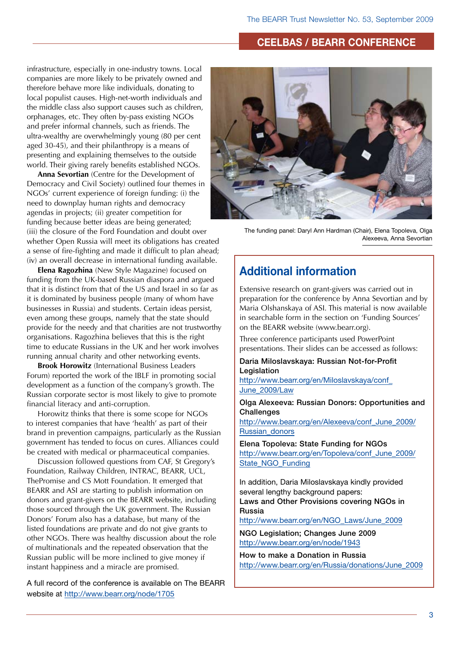#### **CEELBAS / BEARR Conference**

infrastructure, especially in one-industry towns. Local companies are more likely to be privately owned and therefore behave more like individuals, donating to local populist causes. High-net-worth individuals and the middle class also support causes such as children, orphanages, etc. They often by-pass existing NGOs and prefer informal channels, such as friends. The ultra-wealthy are overwhelmingly young (80 per cent aged 30-45), and their philanthropy is a means of presenting and explaining themselves to the outside world. Their giving rarely benefits established NGOs.

**Anna Sevortian** (Centre for the Development of Democracy and Civil Society) outlined four themes in NGOs' current experience of foreign funding: (i) the need to downplay human rights and democracy agendas in projects; (ii) greater competition for funding because better ideas are being generated; (iii) the closure of the Ford Foundation and doubt over whether Open Russia will meet its obligations has created a sense of fire-fighting and made it difficult to plan ahead; (iv) an overall decrease in international funding available.

**Elena Ragozhina** (New Style Magazine) focused on funding from the UK-based Russian diaspora and argued that it is distinct from that of the US and Israel in so far as it is dominated by business people (many of whom have businesses in Russia) and students. Certain ideas persist, even among these groups, namely that the state should provide for the needy and that charities are not trustworthy organisations. Ragozhina believes that this is the right time to educate Russians in the UK and her work involves running annual charity and other networking events.

**Brook Horowitz** (International Business Leaders Forum) reported the work of the IBLF in promoting social development as a function of the company's growth. The Russian corporate sector is most likely to give to promote financial literacy and anti-corruption.

Horowitz thinks that there is some scope for NGOs to interest companies that have 'health' as part of their brand in prevention campaigns, particularly as the Russian government has tended to focus on cures. Alliances could be created with medical or pharmaceutical companies.

Discussion followed questions from CAF, St Gregory's Foundation, Railway Children, INTRAC, BEARR, UCL, ThePromise and CS Mott Foundation. It emerged that BEARR and ASI are starting to publish information on donors and grant-givers on the BEARR website, including those sourced through the UK government. The Russian Donors' Forum also has a database, but many of the listed foundations are private and do not give grants to other NGOs. There was healthy discussion about the role of multinationals and the repeated observation that the Russian public will be more inclined to give money if instant happiness and a miracle are promised.

A full record of the conference is available on The BEARR website at<http://www.bearr.org/node/1705>



The funding panel: Daryl Ann Hardman (Chair), Elena Topoleva, Olga Alexeeva, Anna Sevortian

### **Additional information**

Extensive research on grant-givers was carried out in preparation for the conference by Anna Sevortian and by Maria Olshanskaya of ASI. This material is now available in searchable form in the section on 'Funding Sources' on the BEARR website (www.bearr.org).

Three conference participants used PowerPoint presentations. Their slides can be accessed as follows:

#### Daria Miloslavskaya: Russian Not-for-Profit Legislation

[http://www.bearr.org/en/Miloslavskaya/conf\\_](http://www.bearr.org/en/Miloslavskaya/conf_June_2009/Law) [June\\_2009/Law](http://www.bearr.org/en/Miloslavskaya/conf_June_2009/Law)

Olga Alexeeva: Russian Donors: Opportunities and **Challenges** 

[http://www.bearr.org/en/Alexeeva/conf\\_June\\_2009/](http://www.bearr.org/en/Alexeeva/conf_June_2009/Russian_donors) [Russian\\_donors](http://www.bearr.org/en/Alexeeva/conf_June_2009/Russian_donors)

Elena Topoleva: State Funding for NGOs [http://www.bearr.org/en/Topoleva/conf\\_June\\_2009/](http://www.bearr.org/en/Topoleva/conf_June_2009/State_NGO_Funding) [State\\_NGO\\_Funding](http://www.bearr.org/en/Topoleva/conf_June_2009/State_NGO_Funding)

In addition, Daria Miloslavskaya kindly provided several lengthy background papers: Laws and Other Provisions covering NGOs in Russia

[http://www.bearr.org/en/NGO\\_Laws/June\\_2009](http://www.bearr.org/en/NGO_Laws/June_2009)

NGO Legislation; Changes June 2009 <http://www.bearr.org/en/node/1943>

How to make a Donation in Russia [http://www.bearr.org/en/Russia/donations/June\\_2009](http://www.bearr.org/en/Russia/donations/June_2009)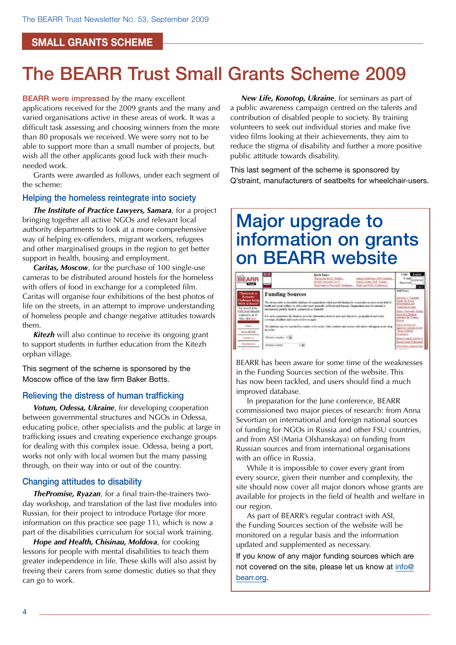#### **small grants scheme**

## The BEARR Trust Small Grants Scheme 2009

**BEARR were impressed by the many excellent** applications received for the 2009 grants and the many and varied organisations active in these areas of work. It was a difficult task assessing and choosing winners from the more than 80 proposals we received. We were sorry not to be able to support more than a small number of projects, but wish all the other applicants good luck with their muchneeded work.

Grants were awarded as follows, under each segment of the scheme:

#### Helping the homeless reintegrate into society

*The Institute of Practice Lawyers, Samara*, for a project bringing together all active NGOs and relevant local authority departments to look at a more comprehensive way of helping ex-offenders, migrant workers, refugees and other marginalised groups in the region to get better support in health, housing and employment.

*Caritas, Moscow*, for the purchase of 100 single-use cameras to be distributed around hostels for the homeless with offers of food in exchange for a completed film. Caritas will organise four exhibitions of the best photos of life on the streets, in an attempt to improve understanding of homeless people and change negative attitudes towards them.

*Kitezh* will also continue to receive its ongoing grant to support students in further education from the Kitezh orphan village.

This segment of the scheme is sponsored by the Moscow office of the law firm Baker Botts.

#### Relieving the distress of human trafficking

*Votum, Odessa, Ukraine*, for developing cooperation between governmental structures and NGOs in Odessa, educating police, other specialists and the public at large in trafficking issues and creating experience exchange groups for dealing with this complex issue. Odessa, being a port, works not only with local women but the many passing through, on their way into or out of the country.

#### Changing attitudes to disability

*ThePromise, Ryazan*, for a final train-the-trainers twoday workshop, and translation of the last five modules into Russian, for their project to introduce Portage (for more information on this practice see page 11), which is now a part of the disabilities curriculum for social work training.

*Hope and Health, Chisinau, Moldova*, for cooking lessons for people with mental disabilities to teach them greater independence in life. These skills will also assist by freeing their carers from some domestic duties so that they can go to work.

*New Life, Konotop, Ukraine*, for seminars as part of a public awareness campaign centred on the talents and contribution of disabled people to society. By training volunteers to seek out individual stories and make five video films looking at their achievements, they aim to reduce the stigma of disability and further a more positive public attitude towards disability.

This last segment of the scheme is sponsored by Q'straint, manufacturers of seatbelts for wheelchair-users.

## Major upgrade to information on grants on BEARR website



BEARR has been aware for some time of the weaknesses in the Funding Sources section of the website. This has now been tackled, and users should find a much improved database.

In preparation for the June conference, BEARR commissioned two major pieces of research: from Anna Sevortian on international and foreign national sources of funding for NGOs in Russia and other FSU countries, and from ASI (Maria Olshanskaya) on funding from Russian sources and from international organisations with an office in Russia.

While it is impossible to cover every grant from every source, given their number and complexity, the site should now cover all major donors whose grants are available for projects in the field of health and welfare in our region.

As part of BEARR's regular contract with ASI, the Funding Sources section of the website will be monitored on a regular basis and the information updated and supplemented as necessary.

If you know of any major funding sources which are not covered on the site, please let us know at info@ bearr.org.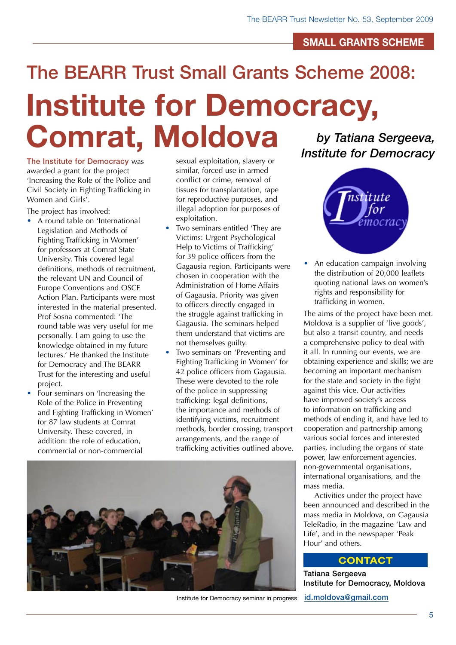#### **small grants scheme**

# The BEARR Trust Small Grants Scheme 2008: **Institute for Democracy, Comrat, Moldova**

The Institute for Democracy was awarded a grant for the project 'Increasing the Role of the Police and Civil Society in Fighting Trafficking in Women and Girls'.

The project has involved:

- A round table on 'International Legislation and Methods of Fighting Trafficking in Women' for professors at Comrat State University. This covered legal definitions, methods of recruitment, the relevant UN and Council of Europe Conventions and OSCE Action Plan. Participants were most interested in the material presented. Prof Sosna commented: 'The round table was very useful for me personally. I am going to use the knowledge obtained in my future lectures.' He thanked the Institute for Democracy and The BEARR Trust for the interesting and useful project.
- Four seminars on 'Increasing the Role of the Police in Preventing and Fighting Trafficking in Women' for 87 law students at Comrat University. These covered, in addition: the role of education, commercial or non-commercial

sexual exploitation, slavery or similar, forced use in armed conflict or crime, removal of tissues for transplantation, rape for reproductive purposes, and illegal adoption for purposes of exploitation.

- Two seminars entitled 'They are Victims: Urgent Psychological Help to Victims of Trafficking' for 39 police officers from the Gagausia region. Participants were chosen in cooperation with the Administration of Home Affairs of Gagausia. Priority was given to officers directly engaged in the struggle against trafficking in Gagausia. The seminars helped them understand that victims are not themselves guilty.
- Two seminars on 'Preventing and Fighting Trafficking in Women' for 42 police officers from Gagausia. These were devoted to the role of the police in suppressing trafficking: legal definitions, the importance and methods of identifying victims, recruitment methods, border crossing, transport arrangements, and the range of trafficking activities outlined above.



Institute for Democracy seminar in progress

*by Tatiana Sergeeva, Institute for Democracy*



An education campaign involving the distribution of 20,000 leaflets quoting national laws on women's rights and responsibility for trafficking in women.

The aims of the project have been met. Moldova is a supplier of 'live goods', but also a transit country, and needs a comprehensive policy to deal with it all. In running our events, we are obtaining experience and skills; we are becoming an important mechanism for the state and society in the fight against this vice. Our activities have improved society's access to information on trafficking and methods of ending it, and have led to cooperation and partnership among various social forces and interested parties, including the organs of state power, law enforcement agencies, non-governmental organisations, international organisations, and the mass media.

Activities under the project have been announced and described in the mass media in Moldova, on Gagausia TeleRadio, in the magazine 'Law and Life', and in the newspaper 'Peak Hour' and others.

#### **Contact**

Tatiana Sergeeva Institute for Democracy, Moldova [id.moldova@gmail.com](mailto:id.moldova@gmail.com)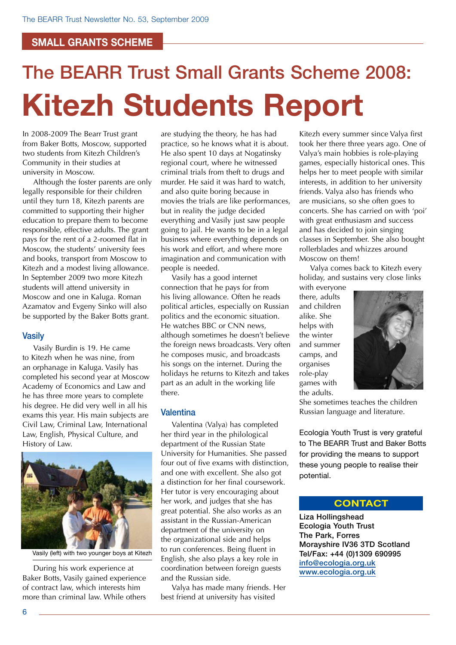#### **small grants scheme**

# The BEARR Trust Small Grants Scheme 2008: **Kitezh Students Report**

In 2008-2009 The Bearr Trust grant from Baker Botts, Moscow, supported two students from Kitezh Children's Community in their studies at university in Moscow.

Although the foster parents are only legally responsible for their children until they turn 18, Kitezh parents are committed to supporting their higher education to prepare them to become responsible, effective adults. The grant pays for the rent of a 2-roomed flat in Moscow, the students' university fees and books, transport from Moscow to Kitezh and a modest living allowance. In September 2009 two more Kitezh students will attend university in Moscow and one in Kaluga. Roman Azamatov and Evgeny Sinko will also be supported by the Baker Botts grant.

#### **Vasily**

Vasily Burdin is 19. He came to Kitezh when he was nine, from an orphanage in Kaluga. Vasily has completed his second year at Moscow Academy of Economics and Law and he has three more years to complete his degree. He did very well in all his exams this year. His main subjects are Civil Law, Criminal Law, International Law, English, Physical Culture, and History of Law.



Vasily (left) with two younger boys at Kitezh

During his work experience at Baker Botts, Vasily gained experience of contract law, which interests him more than criminal law. While others are studying the theory, he has had practice, so he knows what it is about. He also spent 10 days at Nogatinsky regional court, where he witnessed criminal trials from theft to drugs and murder. He said it was hard to watch, and also quite boring because in movies the trials are like performances, but in reality the judge decided everything and Vasily just saw people going to jail. He wants to be in a legal business where everything depends on his work and effort, and where more imagination and communication with people is needed.

Vasily has a good internet connection that he pays for from his living allowance. Often he reads political articles, especially on Russian politics and the economic situation. .<br>He watches BBC or CNN news, although sometimes he doesn't believe the foreign news broadcasts. Very often he composes music, and broadcasts his songs on the internet. During the holidays he returns to Kitezh and takes part as an adult in the working life there.

#### **Valentina**

Valentina (Valya) has completed her third year in the philological department of the Russian State University for Humanities. She passed four out of five exams with distinction, and one with excellent. She also got a distinction for her final coursework. Her tutor is very encouraging about her work, and judges that she has great potential. She also works as an assistant in the Russian-American department of the university on the organizational side and helps to run conferences. Being fluent in English, she also plays a key role in coordination between foreign guests and the Russian side.

Valya has made many friends. Her best friend at university has visited

Kitezh every summer since Valya first took her there three years ago. One of Valya's main hobbies is role-playing games, especially historical ones. This helps her to meet people with similar interests, in addition to her university friends. Valya also has friends who are musicians, so she often goes to concerts. She has carried on with 'poi' with great enthusiasm and success and has decided to join singing classes in September. She also bought rollerblades and whizzes around Moscow on them!

Valya comes back to Kitezh every holiday, and sustains very close links

with everyone there, adults and children alike. She helps with the winter and summer camps, and organises role-play games with the adults.



She sometimes teaches the children Russian language and literature.

Ecologia Youth Trust is very grateful to The BEARR Trust and Baker Botts for providing the means to support these young people to realise their potential.

#### **Contact**

Liza Hollingshead Ecologia Youth Trust The Park, Forres Morayshire IV36 3TD Scotland Tel/Fax: +44 (0)1309 690995 [info@ecologia.org.uk](mailto:info@ecologia.org.uk) [www.ecologia.org.uk](http://www.ecologia.org.uk)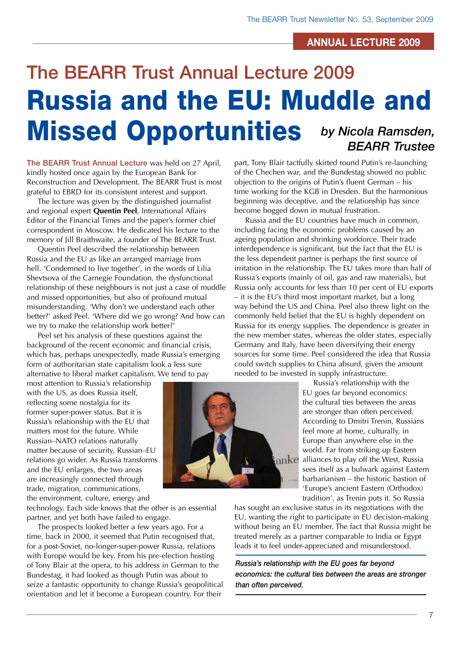#### **annual lecture 2009**

## The BEARR Trust Annual Lecture 2009 Russia and the EU: Muddle and Missed Opportunities *by Nicola Ramsden, BEARR Trustee*

The BEARR Trust Annual Lecture was held on 27 April, kindly hosted once again by the European Bank for Reconstruction and Development. The BEARR Trust is most grateful to EBRD for its consistent interest and support.

The lecture was given by the distinguished journalist and regional expert **Quentin Peel**, International Affairs Editor of the Financial Times and the paper's former chief correspondent in Moscow. He dedicated his lecture to the memory of Jill Braithwaite, a founder of The BEARR Trust.

Quentin Peel described the relationship between Russia and the EU as like an arranged marriage from hell. 'Condemned to live together', in the words of Lilia Shevtsova of the Carnegie Foundation, the dysfunctional relationship of these neighbours is not just a case of muddle and missed opportunities, but also of profound mutual misunderstanding. 'Why don't we understand each other better?' asked Peel. 'Where did we go wrong? And how can we try to make the relationship work better?'

Peel set his analysis of these questions against the background of the recent economic and financial crisis, which has, perhaps unexpectedly, made Russia's emerging form of authoritarian state capitalism look a less sure alternative to liberal market capitalism. We tend to pay

most attention to Russia's relationship with the US, as does Russia itself, reflecting some nostalgia for its former super-power status. But it is Russia's relationship with the EU that matters most for the future. While Russian–NATO relations naturally matter because of security, Russian–EU relations go wider. As Russia transforms and the EU enlarges, the two areas are increasingly connected through trade, migration, communications, the environment, culture, energy and

technology. Each side knows that the other is an essential partner, and yet both have failed to engage.

The prospects looked better a few years ago. For a time, back in 2000, it seemed that Putin recognised that, for a post-Soviet, no-longer-super-power Russia, relations with Europe would be key. From his pre-election hosting of Tony Blair at the opera, to his address in German to the Bundestag, it had looked as though Putin was about to seize a fantastic opportunity to change Russia's geopolitical orientation and let it become a European country. For their

part, Tony Blair tactfully skirted round Putin's re-launching of the Chechen war, and the Bundestag showed no public objection to the origins of Putin's fluent German – his time working for the KGB in Dresden. But the harmonious beginning was deceptive, and the relationship has since become bogged down in mutual frustration.

Russia and the EU countries have much in common, including facing the economic problems caused by an ageing population and shrinking workforce. Their trade interdependence is significant, but the fact that the EU is the less dependent partner is perhaps the first source of irritation in the relationship. The EU takes more than half of Russia's exports (mainly of oil, gas and raw materials), but Russia only accounts for less than 10 per cent of EU exports – it is the EU's third most important market, but a long way behind the US and China. Peel also threw light on the commonly held belief that the EU is highly dependent on Russia for its energy supplies. The dependence is greater in the new member states, whereas the older states, especially Germany and Italy, have been diversifying their energy sources for some time. Peel considered the idea that Russia could switch supplies to China absurd, given the amount needed to be invested in supply infrastructure.

Russia's relationship with the EU goes far beyond economics: the cultural ties between the areas are stronger than often perceived. According to Dmitri Trenin, Russians feel more at home, culturally, in Europe than anywhere else in the world. Far from striking up Eastern alliances to play off the West, Russia sees itself as a bulwark against Eastern barbarianism – the historic bastion of 'Europe's ancient Eastern (Orthodox) tradition', as Trenin puts it. So Russia

has sought an exclusive status in its negotiations with the EU, wanting the right to participate in EU decision-making without being an EU member. The fact that Russia might be treated merely as a partner comparable to India or Egypt leads it to feel under-appreciated and misunderstood.

*Russia's relationship with the EU goes far beyond economics: the cultural ties between the areas are stronger than often perceived.*

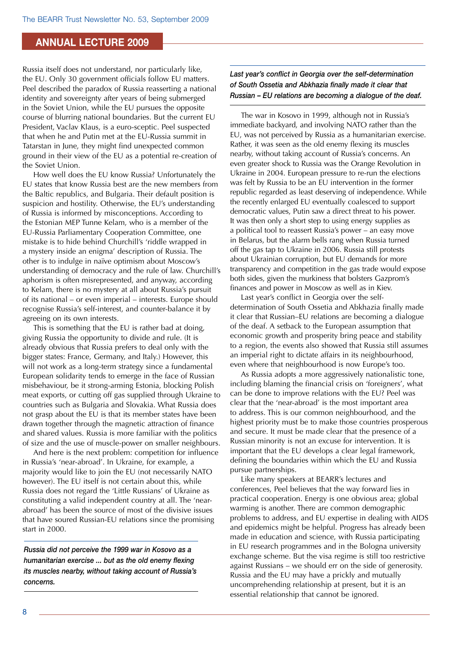#### **annual lecture 2009**

Russia itself does not understand, nor particularly like, the EU. Only 30 government officials follow EU matters. Peel described the paradox of Russia reasserting a national identity and sovereignty after years of being submerged in the Soviet Union, while the EU pursues the opposite course of blurring national boundaries. But the current EU President, Vaclav Klaus, is a euro-sceptic. Peel suspected that when he and Putin met at the EU-Russia summit in Tatarstan in June, they might find unexpected common ground in their view of the EU as a potential re-creation of the Soviet Union.

How well does the EU know Russia? Unfortunately the EU states that know Russia best are the new members from the Baltic republics, and Bulgaria. Their default position is suspicion and hostility. Otherwise, the EU's understanding of Russia is informed by misconceptions. According to the Estonian MEP Tunne Kelam, who is a member of the EU-Russia Parliamentary Cooperation Committee, one mistake is to hide behind Churchill's 'riddle wrapped in a mystery inside an enigma' description of Russia. The other is to indulge in naïve optimism about Moscow's understanding of democracy and the rule of law. Churchill's aphorism is often misrepresented, and anyway, according to Kelam, there is no mystery at all about Russia's pursuit of its national – or even imperial – interests. Europe should recognise Russia's self-interest, and counter-balance it by agreeing on its own interests.

This is something that the EU is rather bad at doing, giving Russia the opportunity to divide and rule. (It is already obvious that Russia prefers to deal only with the bigger states: France, Germany, and Italy.) However, this will not work as a long-term strategy since a fundamental European solidarity tends to emerge in the face of Russian misbehaviour, be it strong-arming Estonia, blocking Polish meat exports, or cutting off gas supplied through Ukraine to countries such as Bulgaria and Slovakia. What Russia does not grasp about the EU is that its member states have been drawn together through the magnetic attraction of finance and shared values. Russia is more familiar with the politics of size and the use of muscle-power on smaller neighbours.

And here is the next problem: competition for influence in Russia's 'near-abroad'. In Ukraine, for example, a majority would like to join the EU (not necessarily NATO however). The EU itself is not certain about this, while Russia does not regard the 'Little Russians' of Ukraine as constituting a valid independent country at all. The 'nearabroad' has been the source of most of the divisive issues that have soured Russian-EU relations since the promising start in 2000.

*Russia did not perceive the 1999 war in Kosovo as a humanitarian exercise ... but as the old enemy flexing its muscles nearby, without taking account of Russia's concerns.*

*Last year's conflict in Georgia over the self-determination of South Ossetia and Abkhazia finally made it clear that Russian – EU relations are becoming a dialogue of the deaf.*

The war in Kosovo in 1999, although not in Russia's immediate backyard, and involving NATO rather than the EU, was not perceived by Russia as a humanitarian exercise. Rather, it was seen as the old enemy flexing its muscles nearby, without taking account of Russia's concerns. An even greater shock to Russia was the Orange Revolution in Ukraine in 2004. European pressure to re-run the elections was felt by Russia to be an EU intervention in the former republic regarded as least deserving of independence. While the recently enlarged EU eventually coalesced to support democratic values, Putin saw a direct threat to his power. It was then only a short step to using energy supplies as a political tool to reassert Russia's power – an easy move in Belarus, but the alarm bells rang when Russia turned off the gas tap to Ukraine in 2006. Russia still protests about Ukrainian corruption, but EU demands for more transparency and competition in the gas trade would expose both sides, given the murkiness that bolsters Gazprom's finances and power in Moscow as well as in Kiev.

Last year's conflict in Georgia over the selfdetermination of South Ossetia and Abkhazia finally made it clear that Russian–EU relations are becoming a dialogue of the deaf. A setback to the European assumption that economic growth and prosperity bring peace and stability to a region, the events also showed that Russia still assumes an imperial right to dictate affairs in its neighbourhood, even where that neighbourhood is now Europe's too.

As Russia adopts a more aggressively nationalistic tone, including blaming the financial crisis on 'foreigners', what can be done to improve relations with the EU? Peel was clear that the 'near-abroad' is the most important area to address. This is our common neighbourhood, and the highest priority must be to make those countries prosperous and secure. It must be made clear that the presence of a Russian minority is not an excuse for intervention. It is important that the EU develops a clear legal framework, defining the boundaries within which the EU and Russia pursue partnerships.

Like many speakers at BEARR's lectures and conferences, Peel believes that the way forward lies in practical cooperation. Energy is one obvious area; global warming is another. There are common demographic problems to address, and EU expertise in dealing with AIDS and epidemics might be helpful. Progress has already been made in education and science, with Russia participating in EU research programmes and in the Bologna university exchange scheme. But the visa regime is still too restrictive against Russians – we should err on the side of generosity. Russia and the EU may have a prickly and mutually uncomprehending relationship at present, but it is an essential relationship that cannot be ignored.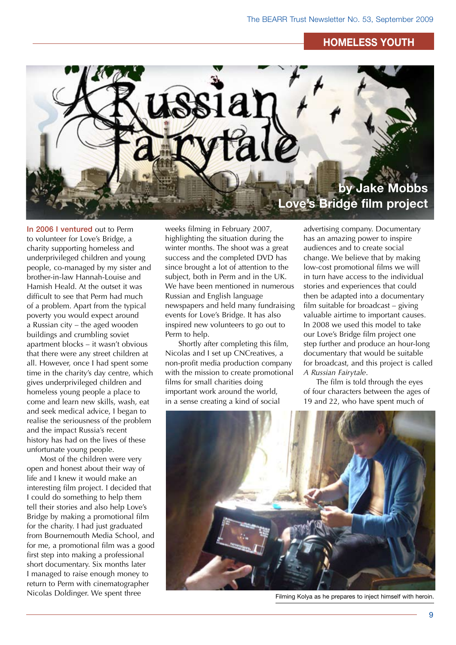#### **homeless youth**



In 2006 I ventured out to Perm to volunteer for Love's Bridge, a charity supporting homeless and underprivileged children and young people, co-managed by my sister and brother-in-law Hannah-Louise and Hamish Heald. At the outset it was difficult to see that Perm had much of a problem. Apart from the typical poverty you would expect around a Russian city – the aged wooden buildings and crumbling soviet apartment blocks – it wasn't obvious that there were any street children at all. However, once I had spent some time in the charity's day centre, which gives underprivileged children and homeless young people a place to come and learn new skills, wash, eat and seek medical advice, I began to realise the seriousness of the problem and the impact Russia's recent history has had on the lives of these unfortunate young people.

Most of the children were very open and honest about their way of life and I knew it would make an interesting film project. I decided that I could do something to help them tell their stories and also help Love's Bridge by making a promotional film for the charity. I had just graduated from Bournemouth Media School, and for me, a promotional film was a good first step into making a professional short documentary. Six months later I managed to raise enough money to return to Perm with cinematographer Nicolas Doldinger. We spent three

weeks filming in February 2007, highlighting the situation during the winter months. The shoot was a great success and the completed DVD has since brought a lot of attention to the subject, both in Perm and in the UK. We have been mentioned in numerous Russian and English language newspapers and held many fundraising events for Love's Bridge. It has also inspired new volunteers to go out to Perm to help.

Shortly after completing this film, Nicolas and I set up CNCreatives, a non-profit media production company with the mission to create promotional films for small charities doing important work around the world, in a sense creating a kind of social

advertising company. Documentary has an amazing power to inspire audiences and to create social change. We believe that by making low-cost promotional films we will in turn have access to the individual stories and experiences that could then be adapted into a documentary film suitable for broadcast – giving valuable airtime to important causes. In 2008 we used this model to take our Love's Bridge film project one step further and produce an hour-long documentary that would be suitable for broadcast, and this project is called *A Russian Fairytale*.

The film is told through the eyes of four characters between the ages of 19 and 22, who have spent much of



Filming Kolya as he prepares to inject himself with heroin.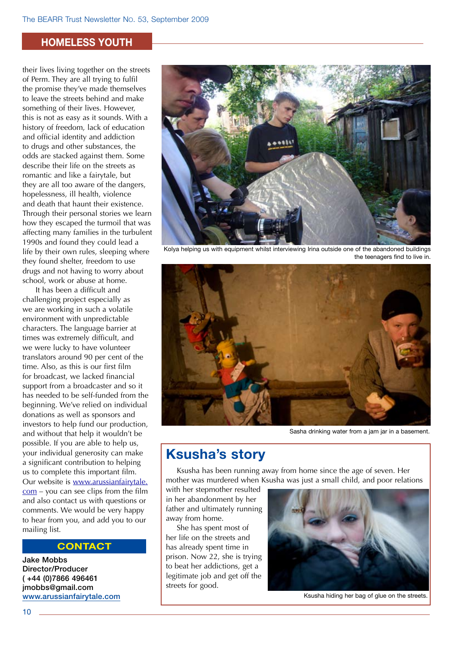#### **homeless youth**

their lives living together on the streets of Perm. They are all trying to fulfil the promise they've made themselves to leave the streets behind and make something of their lives. However, this is not as easy as it sounds. With a history of freedom, lack of education and official identity and addiction to drugs and other substances, the odds are stacked against them. Some describe their life on the streets as romantic and like a fairytale, but they are all too aware of the dangers, hopelessness, ill health, violence and death that haunt their existence. Through their personal stories we learn how they escaped the turmoil that was affecting many families in the turbulent 1990s and found they could lead a life by their own rules, sleeping where they found shelter, freedom to use drugs and not having to worry about school, work or abuse at home.

It has been a difficult and challenging project especially as we are working in such a volatile environment with unpredictable characters. The language barrier at times was extremely difficult, and we were lucky to have volunteer translators around 90 per cent of the time. Also, as this is our first film for broadcast, we lacked financial support from a broadcaster and so it has needed to be self-funded from the beginning. We've relied on individual donations as well as sponsors and investors to help fund our production, and without that help it wouldn't be possible. If you are able to help us, your individual generosity can make a significant contribution to helping us to complete this important film. Our website is www.arussianfairytale. com – you can see clips from the film and also contact us with questions or comments. We would be very happy to hear from you, and add you to our mailing list.

#### **Contact**

Jake Mobbs Director/Producer ( +44 (0)7866 496461 jmobbs@gmail.com [www.arussianfairytale.com](http://www.arussianfairytale.com)



Kolya helping us with equipment whilst interviewing Irina outside one of the abandoned buildings the teenagers find to live in.



Sasha drinking water from a jam jar in a basement.

### **Ksusha's story**

Ksusha has been running away from home since the age of seven. Her mother was murdered when Ksusha was just a small child, and poor relations

with her stepmother resulted in her abandonment by her father and ultimately running away from home.

She has spent most of her life on the streets and has already spent time in prison. Now 22, she is trying to beat her addictions, get a legitimate job and get off the streets for good.



Ksusha hiding her bag of glue on the streets.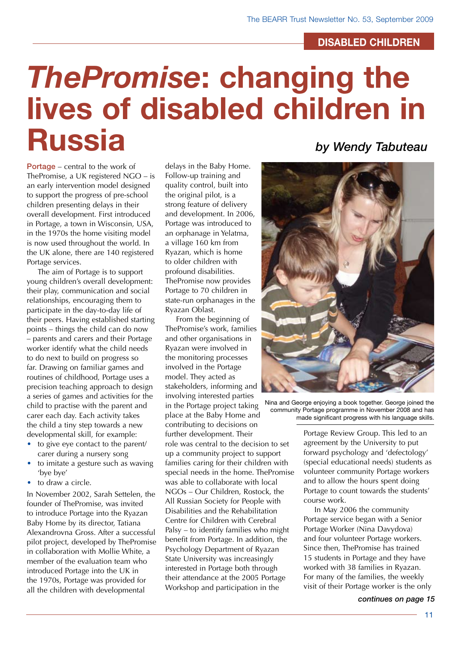#### **disabled children**

# *ThePromise***: changing the lives of disabled children in Russia**

Portage – central to the work of ThePromise, a UK registered NGO – is an early intervention model designed to support the progress of pre-school children presenting delays in their overall development. First introduced in Portage, a town in Wisconsin, USA, in the 1970s the home visiting model is now used throughout the world. In the UK alone, there are 140 registered Portage services.

The aim of Portage is to support young children's overall development: their play, communication and social relationships, encouraging them to participate in the day-to-day life of their peers. Having established starting points – things the child can do now – parents and carers and their Portage worker identify what the child needs to do next to build on progress so far. Drawing on familiar games and routines of childhood, Portage uses a precision teaching approach to design a series of games and activities for the child to practise with the parent and carer each day. Each activity takes the child a tiny step towards a new developmental skill, for example:

- to give eye contact to the parent/ carer during a nursery song
- to imitate a gesture such as waving 'bye bye'
- to draw a circle.

In November 2002, Sarah Settelen, the founder of ThePromise, was invited to introduce Portage into the Ryazan Baby Home by its director, Tatiana Alexandrovna Gross. After a successful pilot project, developed by ThePromise in collaboration with Mollie White, a member of the evaluation team who introduced Portage into the UK in the 1970s, Portage was provided for all the children with developmental

delays in the Baby Home. Follow-up training and quality control, built into the original pilot, is a strong feature of delivery and development. In 2006, Portage was introduced to an orphanage in Yelatma, a village 160 km from Ryazan, which is home to older children with profound disabilities. ThePromise now provides Portage to 70 children in state-run orphanages in the Ryazan Oblast.

From the beginning of ThePromise's work, families and other organisations in Ryazan were involved in the monitoring processes involved in the Portage model. They acted as stakeholders, informing and involving interested parties in the Portage project taking place at the Baby Home and contributing to decisions on further development. Their role was central to the decision to set up a community project to support families caring for their children with special needs in the home. ThePromise was able to collaborate with local NGOs – Our Children, Rostock, the All Russian Society for People with Disabilities and the Rehabilitation Centre for Children with Cerebral Palsy – to identify families who might benefit from Portage. In addition, the Psychology Department of Ryazan State University was increasingly interested in Portage both through their attendance at the 2005 Portage Workshop and participation in the

### *by Wendy Tabuteau*



Nina and George enjoying a book together. George joined the community Portage programme in November 2008 and has made significant progress with his language skills.

Portage Review Group. This led to an agreement by the University to put forward psychology and 'defectology' (special educational needs) students as volunteer community Portage workers and to allow the hours spent doing Portage to count towards the students' course work.

In May 2006 the community Portage service began with a Senior Portage Worker (Nina Davydova) and four volunteer Portage workers. Since then, ThePromise has trained 15 students in Portage and they have worked with 38 families in Ryazan. For many of the families, the weekly visit of their Portage worker is the only

*continues on page 15*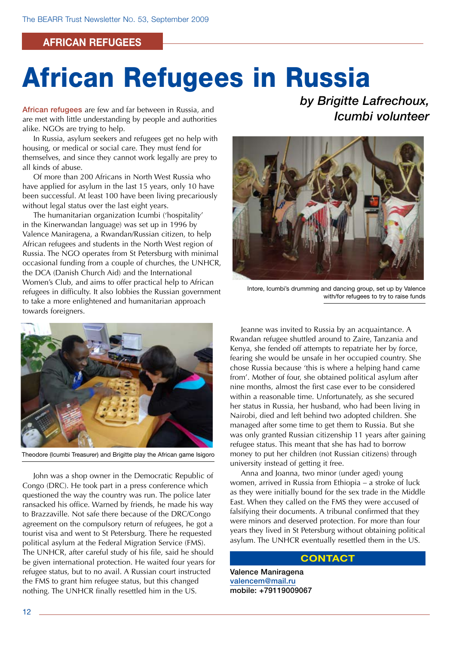#### **african refugees**

# African Refugees in Russia

African refugees are few and far between in Russia, and are met with little understanding by people and authorities alike. NGOs are trying to help.

In Russia, asylum seekers and refugees get no help with housing, or medical or social care. They must fend for themselves, and since they cannot work legally are prey to all kinds of abuse.

Of more than 200 Africans in North West Russia who have applied for asylum in the last 15 years, only 10 have been successful. At least 100 have been living precariously without legal status over the last eight years.

The humanitarian organization Icumbi ('hospitality' in the Kinerwandan language) was set up in 1996 by Valence Maniragena, a Rwandan/Russian citizen, to help African refugees and students in the North West region of Russia. The NGO operates from St Petersburg with minimal occasional funding from a couple of churches, the UNHCR, the DCA (Danish Church Aid) and the International Women's Club, and aims to offer practical help to African refugees in difficulty. It also lobbies the Russian government to take a more enlightened and humanitarian approach towards foreigners.



Theodore (Icumbi Treasurer) and Brigitte play the African game Isigoro

John was a shop owner in the Democratic Republic of Congo (DRC). He took part in a press conference which questioned the way the country was run. The police later ransacked his office. Warned by friends, he made his way to Brazzaville. Not safe there because of the DRC/Congo agreement on the compulsory return of refugees, he got a tourist visa and went to St Petersburg. There he requested political asylum at the Federal Migration Service (FMS). The UNHCR, after careful study of his file, said he should be given international protection. He waited four years for refugee status, but to no avail. A Russian court instructed the FMS to grant him refugee status, but this changed nothing. The UNHCR finally resettled him in the US.

*by Brigitte Lafrechoux, Icumbi volunteer*



Intore, Icumbi's drumming and dancing group, set up by Valence with/for refugees to try to raise funds

Jeanne was invited to Russia by an acquaintance. A Rwandan refugee shuttled around to Zaire, Tanzania and Kenya, she fended off attempts to repatriate her by force, fearing she would be unsafe in her occupied country. She chose Russia because 'this is where a helping hand came from'. Mother of four, she obtained political asylum after nine months, almost the first case ever to be considered within a reasonable time. Unfortunately, as she secured her status in Russia, her husband, who had been living in Nairobi, died and left behind two adopted children. She managed after some time to get them to Russia. But she was only granted Russian citizenship 11 years after gaining refugee status. This meant that she has had to borrow money to put her children (not Russian citizens) through university instead of getting it free.

Anna and Joanna, two minor (under aged) young women, arrived in Russia from Ethiopia – a stroke of luck as they were initially bound for the sex trade in the Middle East. When they called on the FMS they were accused of falsifying their documents. A tribunal confirmed that they were minors and deserved protection. For more than four years they lived in St Petersburg without obtaining political asylum. The UNHCR eventually resettled them in the US.

#### **Contact**

Valence Maniragena [valencem@mail.ru](mailto:valencem@mail.ru) mobile: +79119009067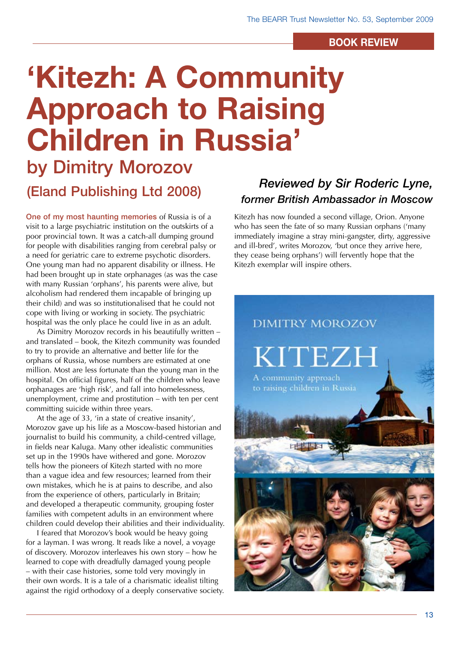#### **book review**

# **'Kitezh: A Community Approach to Raising Children in Russia'**

by Dimitry Morozov (Eland Publishing Ltd 2008)

One of my most haunting memories of Russia is of a visit to a large psychiatric institution on the outskirts of a poor provincial town. It was a catch-all dumping ground for people with disabilities ranging from cerebral palsy or a need for geriatric care to extreme psychotic disorders. One young man had no apparent disability or illness. He had been brought up in state orphanages (as was the case with many Russian 'orphans', his parents were alive, but alcoholism had rendered them incapable of bringing up their child) and was so institutionalised that he could not cope with living or working in society. The psychiatric hospital was the only place he could live in as an adult.

As Dimitry Morozov records in his beautifully written – and translated – book, the Kitezh community was founded to try to provide an alternative and better life for the orphans of Russia, whose numbers are estimated at one million. Most are less fortunate than the young man in the hospital. On official figures, half of the children who leave orphanages are 'high risk', and fall into homelessness, unemployment, crime and prostitution – with ten per cent committing suicide within three years.

At the age of 33, 'in a state of creative insanity', Morozov gave up his life as a Moscow-based historian and journalist to build his community, a child-centred village, in fields near Kaluga. Many other idealistic communities set up in the 1990s have withered and gone. Morozov tells how the pioneers of Kitezh started with no more than a vague idea and few resources; learned from their own mistakes, which he is at pains to describe, and also from the experience of others, particularly in Britain; and developed a therapeutic community, grouping foster families with competent adults in an environment where children could develop their abilities and their individuality.

I feared that Morozov's book would be heavy going for a layman. I was wrong. It reads like a novel, a voyage of discovery. Morozov interleaves his own story – how he learned to cope with dreadfully damaged young people – with their case histories, some told very movingly in their own words. It is a tale of a charismatic idealist tilting against the rigid orthodoxy of a deeply conservative society.

### *Reviewed by Sir Roderic Lyne, former British Ambassador in Moscow*

Kitezh has now founded a second village, Orion. Anyone who has seen the fate of so many Russian orphans ('many immediately imagine a stray mini-gangster, dirty, aggressive and ill-bred', writes Morozov, 'but once they arrive here, they cease being orphans') will fervently hope that the Kitezh exemplar will inspire others.

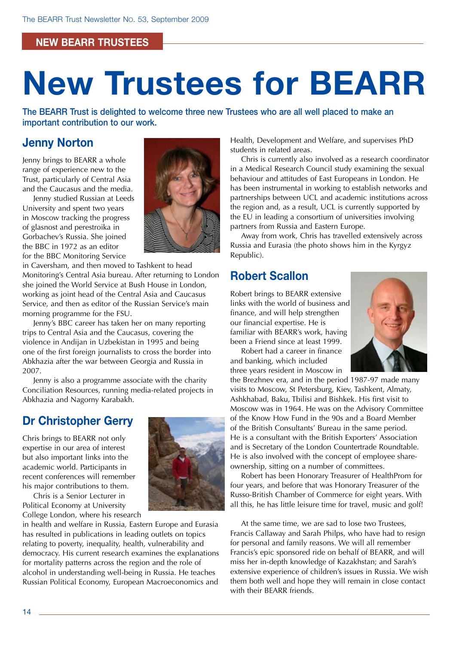#### **new bearr trustees**

# **New Trustees for BEARR**

The BEARR Trust is delighted to welcome three new Trustees who are all well placed to make an important contribution to our work.

### **Jenny Norton**

Jenny brings to BEARR a whole range of experience new to the Trust, particularly of Central Asia and the Caucasus and the media.

Jenny studied Russian at Leeds University and spent two years in Moscow tracking the progress of glasnost and perestroika in Gorbachev's Russia. She joined the BBC in 1972 as an editor for the BBC Monitoring Service



in Caversham, and then moved to Tashkent to head Monitoring's Central Asia bureau. After returning to London she joined the World Service at Bush House in London, working as joint head of the Central Asia and Caucasus Service, and then as editor of the Russian Service's main morning programme for the FSU.

Jenny's BBC career has taken her on many reporting trips to Central Asia and the Caucasus, covering the violence in Andijan in Uzbekistan in 1995 and being one of the first foreign journalists to cross the border into Abkhazia after the war between Georgia and Russia in 2007.

Jenny is also a programme associate with the charity Conciliation Resources, running media-related projects in Abkhazia and Nagorny Karabakh.

### **Dr Christopher Gerry**

Chris brings to BEARR not only expertise in our area of interest but also important links into the academic world. Participants in recent conferences will remember his major contributions to them.

Chris is a Senior Lecturer in Political Economy at University College London, where his research

in health and welfare in Russia, Eastern Europe and Eurasia has resulted in publications in leading outlets on topics relating to poverty, inequality, health, vulnerability and democracy. His current research examines the explanations for mortality patterns across the region and the role of alcohol in understanding well-being in Russia. He teaches Russian Political Economy, European Macroeconomics and

Health, Development and Welfare, and supervises PhD students in related areas.

Chris is currently also involved as a research coordinator in a Medical Research Council study examining the sexual behaviour and attitudes of East Europeans in London. He has been instrumental in working to establish networks and partnerships between UCL and academic institutions across the region and, as a result, UCL is currently supported by the EU in leading a consortium of universities involving partners from Russia and Eastern Europe.

Away from work, Chris has travelled extensively across Russia and Eurasia (the photo shows him in the Kyrgyz Republic).

### **Robert Scallon**

Robert brings to BEARR extensive links with the world of business and finance, and will help strengthen our financial expertise. He is familiar with BEARR's work, having been a Friend since at least 1999.

Robert had a career in finance and banking, which included three years resident in Moscow in



the Brezhnev era, and in the period 1987-97 made many visits to Moscow, St Petersburg, Kiev, Tashkent, Almaty, Ashkhabad, Baku, Tbilisi and Bishkek. His first visit to Moscow was in 1964. He was on the Advisory Committee of the Know How Fund in the 90s and a Board Member of the British Consultants' Bureau in the same period. He is a consultant with the British Exporters' Association and is Secretary of the London Countertrade Roundtable. He is also involved with the concept of employee shareownership, sitting on a number of committees.

Robert has been Honorary Treasurer of HealthProm for four years, and before that was Honorary Treasurer of the Russo-British Chamber of Commerce for eight years. With all this, he has little leisure time for travel, music and golf!

At the same time, we are sad to lose two Trustees, Francis Callaway and Sarah Philps, who have had to resign for personal and family reasons. We will all remember Francis's epic sponsored ride on behalf of BEARR, and will miss her in-depth knowledge of Kazakhstan; and Sarah's extensive experience of children's issues in Russia. We wish them both well and hope they will remain in close contact with their BEARR friends.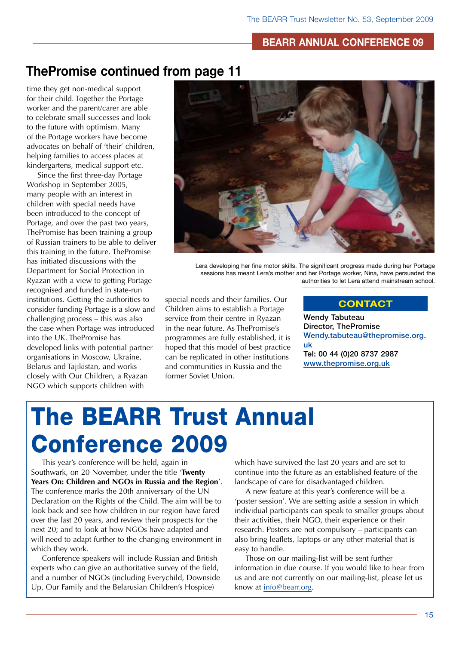#### **BEARR annual Conference 09**

### **ThePromise continued from page 11**

time they get non-medical support for their child. Together the Portage worker and the parent/carer are able to celebrate small successes and look to the future with optimism. Many of the Portage workers have become advocates on behalf of 'their' children, helping families to access places at kindergartens, medical support etc.

Since the first three-day Portage Workshop in September 2005, many people with an interest in children with special needs have been introduced to the concept of Portage, and over the past two years, ThePromise has been training a group of Russian trainers to be able to deliver this training in the future. ThePromise has initiated discussions with the Department for Social Protection in Ryazan with a view to getting Portage recognised and funded in state-run institutions. Getting the authorities to consider funding Portage is a slow and challenging process – this was also the case when Portage was introduced into the UK. ThePromise has developed links with potential partner organisations in Moscow, Ukraine, Belarus and Tajikistan, and works closely with Our Children, a Ryazan NGO which supports children with



Lera developing her fine motor skills. The significant progress made during her Portage sessions has meant Lera's mother and her Portage worker, Nina, have persuaded the authorities to let Lera attend mainstream school.

special needs and their families. Our Children aims to establish a Portage service from their centre in Ryazan in the near future. As ThePromise's programmes are fully established, it is hoped that this model of best practice can be replicated in other institutions and communities in Russia and the former Soviet Union.

#### **Contact**

Wendy Tabuteau Director, ThePromise [Wendy.tabuteau@thepromise.org.](mailto:Wendy.tabuteau@thepromise.org.uk) [uk](mailto:Wendy.tabuteau@thepromise.org.uk) Tel: 00 44 (0)20 8737 2987 [www.thepromise.org.uk](http://www.thepromise.org.uk)

# The BEARR Trust Annual Conference 2009

This year's conference will be held, again in Southwark, on 20 November, under the title '**Twenty Years On: Children and NGOs in Russia and the Region**'. The conference marks the 20th anniversary of the UN Declaration on the Rights of the Child. The aim will be to look back and see how children in our region have fared over the last 20 years, and review their prospects for the next 20; and to look at how NGOs have adapted and will need to adapt further to the changing environment in which they work.

Conference speakers will include Russian and British experts who can give an authoritative survey of the field, and a number of NGOs (including Everychild, Downside Up, Our Family and the Belarusian Children's Hospice)

which have survived the last 20 years and are set to continue into the future as an established feature of the landscape of care for disadvantaged children.

A new feature at this year's conference will be a 'poster session'. We are setting aside a session in which individual participants can speak to smaller groups about their activities, their NGO, their experience or their research. Posters are not compulsory – participants can also bring leaflets, laptops or any other material that is easy to handle.

Those on our mailing-list will be sent further information in due course. If you would like to hear from us and are not currently on our mailing-list, please let us know at info@bearr.org.